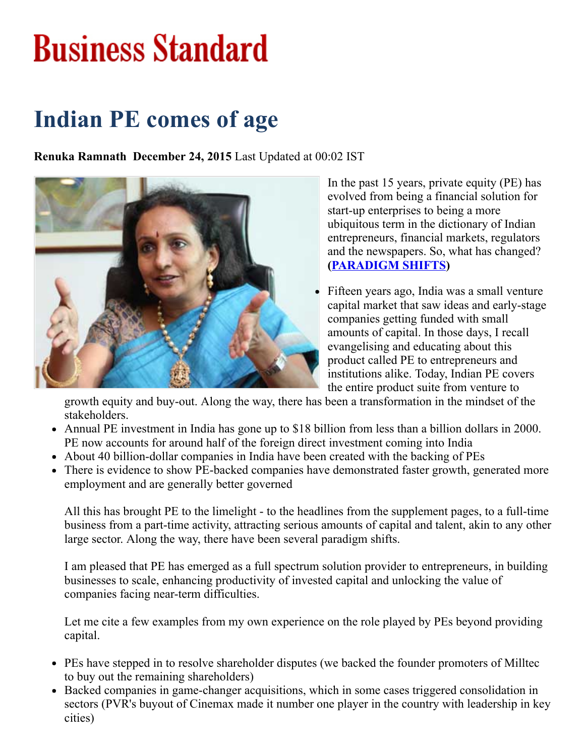# **Business Standard**

### Indian PE comes of age

Renuka Ramnath December 24, 2015 Last Updated at 00:02 IST



In the past 15 years, private equity (PE) has evolved from being a financial solution for start-up enterprises to being a more ubiquitous term in the dictionary of Indian entrepreneurs, financial markets, regulators and the newspapers. So, what has changed? [\(PARADIGM](http://bsmedia.business-standard.com/_media/bs/data/general-file-upload/2015-12/122415_02.pdf) SHIFTS)

Fifteen years ago, India was a small venture capital market that saw ideas and early-stage companies getting funded with small amounts of capital. In those days, I recall evangelising and educating about this product called PE to entrepreneurs and institutions alike. Today, Indian PE covers the entire product suite from venture to

growth equity and buy-out. Along the way, there has been a transformation in the mindset of the stakeholders.

- Annual PE investment in India has gone up to \$18 billion from less than a billion dollars in 2000. PE now accounts for around half of the foreign direct investment coming into India
- About 40 billion-dollar companies in India have been created with the backing of PEs
- There is evidence to show PE-backed companies have demonstrated faster growth, generated more employment and are generally better governed

All this has brought PE to the limelight - to the headlines from the supplement pages, to a full-time business from a part-time activity, attracting serious amounts of capital and talent, akin to any other large sector. Along the way, there have been several paradigm shifts.

I am pleased that PE has emerged as a full spectrum solution provider to entrepreneurs, in building businesses to scale, enhancing productivity of invested capital and unlocking the value of companies facing near-term difficulties.

Let me cite a few examples from my own experience on the role played by PEs beyond providing capital.

- PEs have stepped in to resolve shareholder disputes (we backed the founder promoters of Milltec to buy out the remaining shareholders)
- Backed companies in game-changer acquisitions, which in some cases triggered consolidation in sectors (PVR's buyout of Cinemax made it number one player in the country with leadership in key cities)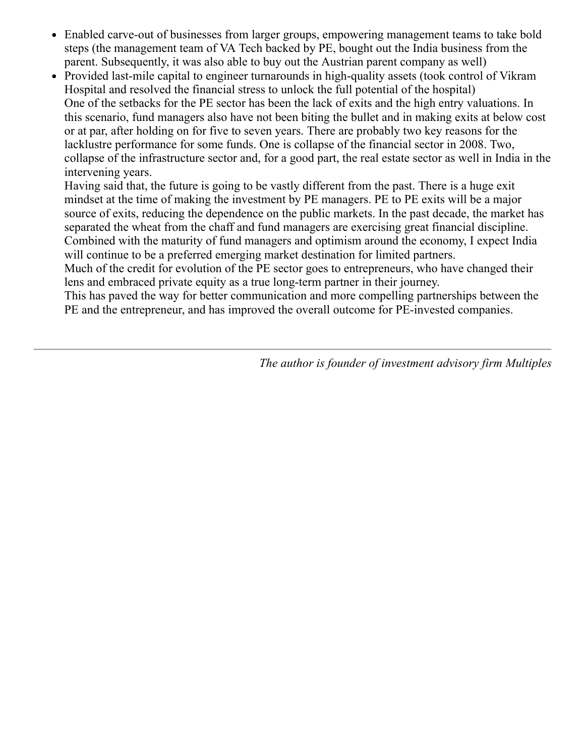- Enabled carve-out of businesses from larger groups, empowering management teams to take bold steps (the management team of VA Tech backed by PE, bought out the India business from the parent. Subsequently, it was also able to buy out the Austrian parent company as well)
- Provided last-mile capital to engineer turnarounds in high-quality assets (took control of Vikram Hospital and resolved the financial stress to unlock the full potential of the hospital) One of the setbacks for the PE sector has been the lack of exits and the high entry valuations. In this scenario, fund managers also have not been biting the bullet and in making exits at below cost or at par, after holding on for five to seven years. There are probably two key reasons for the lacklustre performance for some funds. One is collapse of the financial sector in 2008. Two, collapse of the infrastructure sector and, for a good part, the real estate sector as well in India in the intervening years.

Having said that, the future is going to be vastly different from the past. There is a huge exit mindset at the time of making the investment by PE managers. PE to PE exits will be a major source of exits, reducing the dependence on the public markets. In the past decade, the market has separated the wheat from the chaff and fund managers are exercising great financial discipline. Combined with the maturity of fund managers and optimism around the economy, I expect India will continue to be a preferred emerging market destination for limited partners.

Much of the credit for evolution of the PE sector goes to entrepreneurs, who have changed their lens and embraced private equity as a true long-term partner in their journey.

This has paved the way for better communication and more compelling partnerships between the PE and the entrepreneur, and has improved the overall outcome for PE-invested companies.

The author is founder of investment advisory firm Multiples